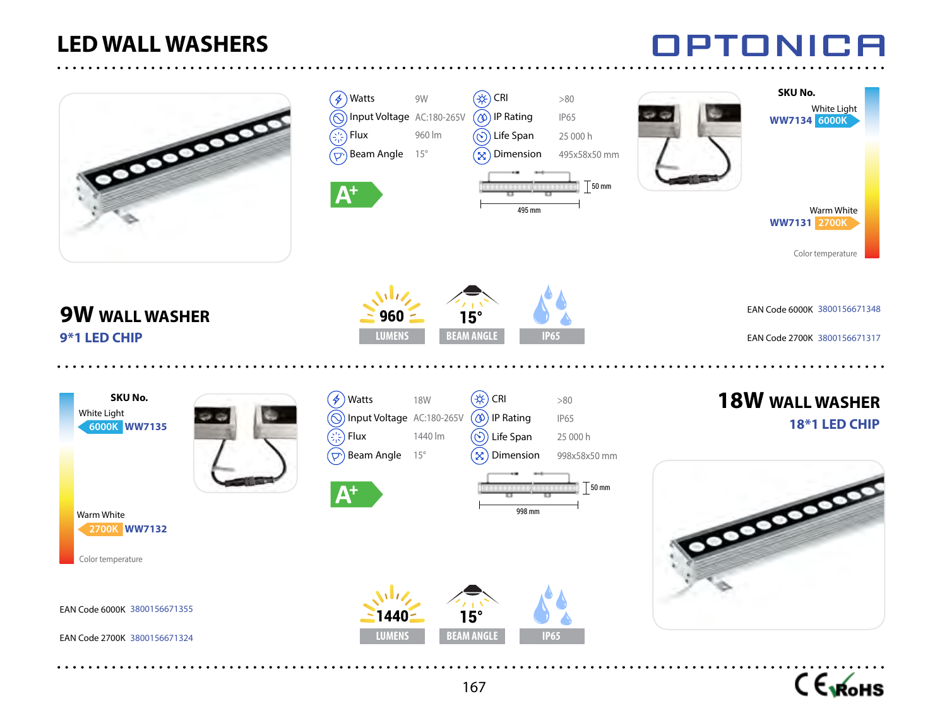### **LED WALL WASHERS**





TONH

┒□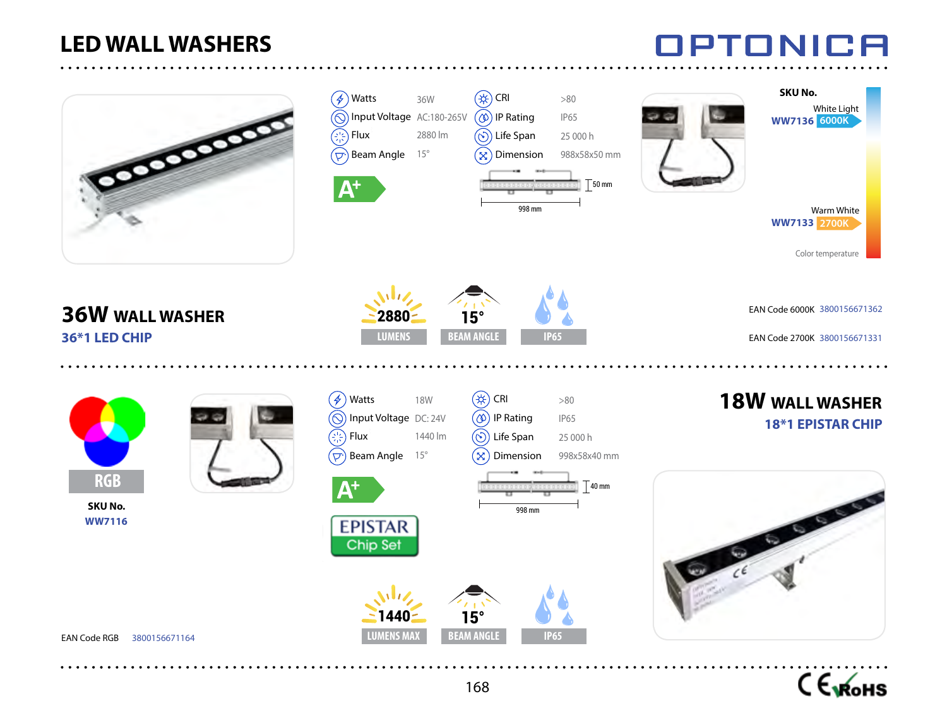#### **LED WALL WASHERS**





PTONICA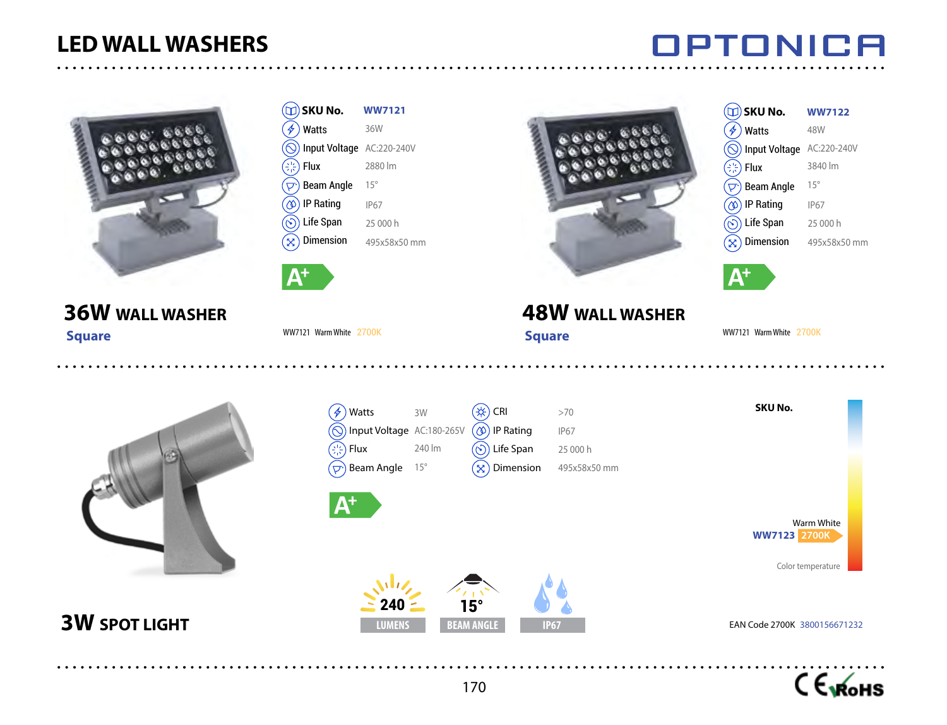### **LED WALL WASHERS**

### **OPTONICA**

WW7121 Warm White 2700K

3840 lm 15° IP67 25 000 h 495x58x50 mm

Input Voltage AC:220-240V



|      | $\textcircled{\tiny{1}}$ SKU No.             | <b>WW7121</b> |  |    | $\Box$ ) SKU No.                             | <b>WW7122</b> |
|------|----------------------------------------------|---------------|--|----|----------------------------------------------|---------------|
|      | $(\cancel{2})$ Watts                         | 36W           |  | 4, | <b>Watts</b>                                 | 48W           |
|      | (◎) Input Voltage AC:220-240V                |               |  |    | (O) Input Voltage AC:220-24                  |               |
|      | $\left(\frac{1}{2}, \frac{1}{2}\right)$ Flux | 2880 lm       |  |    | $\left(\frac{1}{2}, \frac{1}{2}\right)$ Flux | 3840 lm       |
|      | $(\overline{\nabla})$ Beam Angle             | $15^\circ$    |  | D. | <b>Beam Angle</b>                            | $15^{\circ}$  |
|      | $\left(\circledcirc\right)$ IP Rating        | <b>IP67</b>   |  |    | $\hat{p}$ IP Rating                          | <b>IP67</b>   |
|      | $\circled{\scriptstyle\odot})$ Life Span     | 25 000 h      |  |    | $\hat{\infty}$ ) Life Span                   | 25 000 h      |
|      | $(\times)$ Dimension                         | 495x58x50 mm  |  |    | $\mathcal{L}_{\mathbf{X}}$ ) Dimension       | 495x58x50     |
|      |                                              |               |  |    |                                              |               |
| I A† |                                              |               |  |    | $\mathsf{V}^+$                               |               |

WW7121 Warm White 2700K

### **36W WALL WASHER**

 **Square**



**3W SPOT LIGHT** 

| $\frac{1}{\gamma}$<br>Watts                  | 3W           | <b>CRI</b><br>₩,                               | >70          | <b>SKU No.</b>                                         |  |
|----------------------------------------------|--------------|------------------------------------------------|--------------|--------------------------------------------------------|--|
| $(\odot)$<br>Input Voltage AC:180-265V       |              | IP Rating<br>$(\infty)$                        | <b>IP67</b>  |                                                        |  |
| $\left(\frac{1}{2}, \frac{1}{2}\right)$ Flux | 240 lm       | Life Span<br>(≻`                               | 25 000 h     |                                                        |  |
| Beam Angle<br>$(\nabla)$                     | $15^{\circ}$ | Dimension<br>X                                 | 495x58x50 mm |                                                        |  |
| $\bm{\mathsf{A}}^{\mathsf{+}}$               |              |                                                |              | Warm White<br><b>WW7123 2700K</b><br>Color temperature |  |
| 240<br><b>LUMENS</b>                         |              | $15^\circ$<br><b>BEAM ANGLE</b><br><b>IP67</b> |              | EAN Code 2700K 3800156671232                           |  |

**48W WALL WASHER**

 **Square**

170

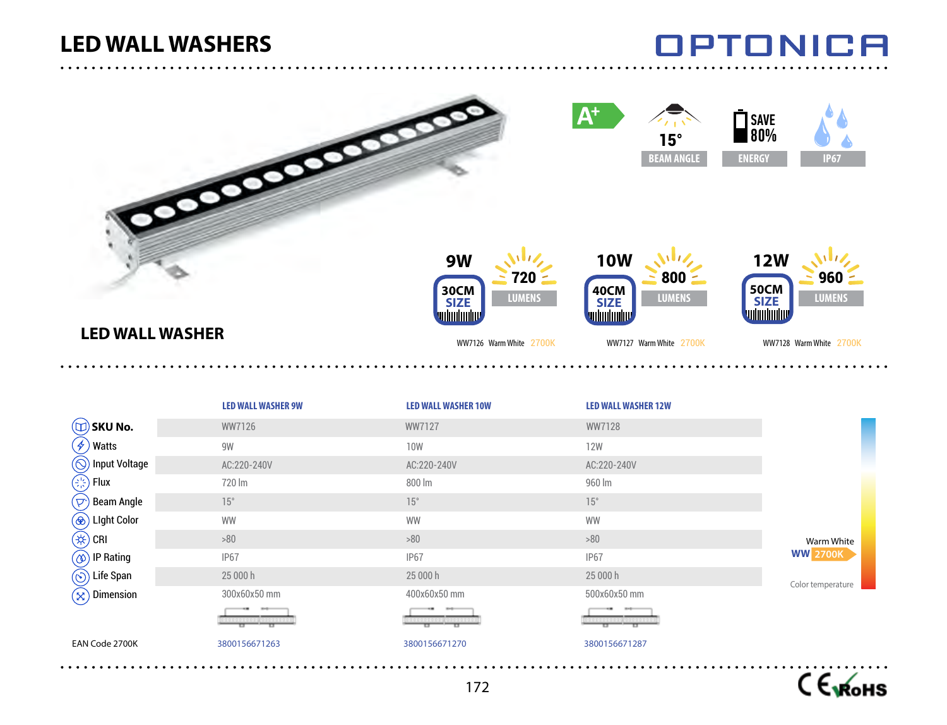### OPTONICA



 $C \epsilon_{\text{vKoHS}}$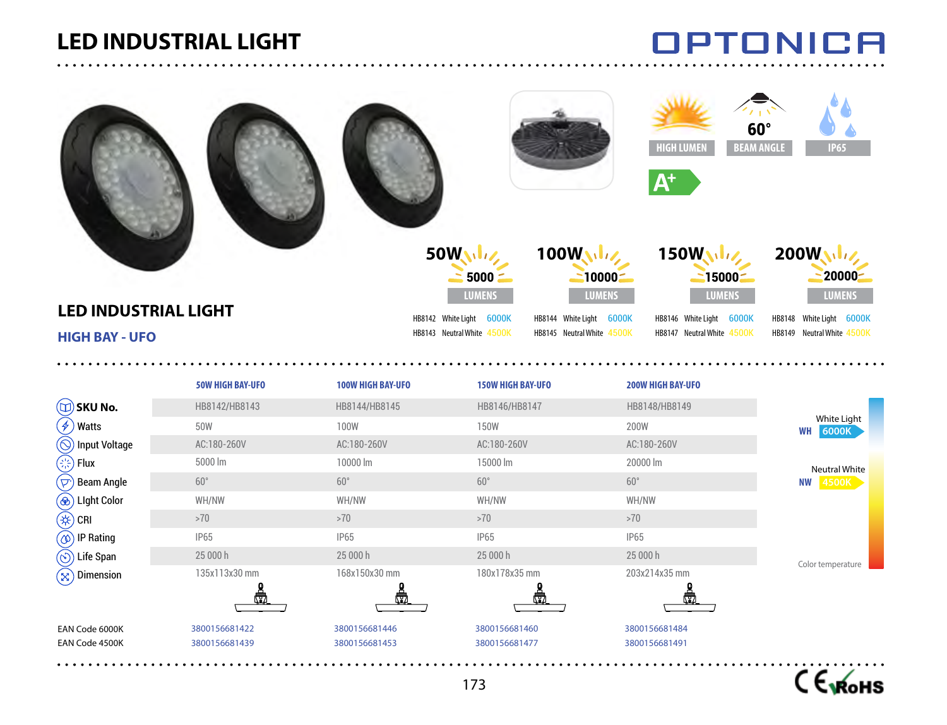### **LED INDUSTRIAL LIGHT**

. . . . . . . . . . . . . . . . . . .

 $\frac{1}{2}$ 

. . . . . . . . . .

## **OPTONICA**

| <b>LED INDUSTRIAL LIGHT</b><br><b>HIGH BAY - UFO</b> |                                |                                | 100W<br>50WWW<br>$10000 -$<br>$5000 -$<br><b>LUMENS</b><br><b>LUMENS</b><br>HB8142 White Light 6000K<br>HB8144 White Light 6000K<br>HB8143 Neutral White 4500K<br>HB8145 Neutral White 4500K |                                | $60^\circ$<br><b>BEAM ANGLE</b><br><b>IP65</b><br>200W<br>20000-<br><b>LUMENS</b><br>HB8148 White Light 6000K<br>HB8149 Neutral White 4500K |
|------------------------------------------------------|--------------------------------|--------------------------------|----------------------------------------------------------------------------------------------------------------------------------------------------------------------------------------------|--------------------------------|---------------------------------------------------------------------------------------------------------------------------------------------|
|                                                      | <b>50W HIGH BAY-UFO</b>        | <b>100W HIGH BAY-UFO</b>       | <b>150W HIGH BAY-UFO</b>                                                                                                                                                                     | <b>200W HIGH BAY-UFO</b>       |                                                                                                                                             |
| $(\Box)$ SKU No.                                     | HB8142/HB8143                  | HB8144/HB8145                  | HB8146/HB8147                                                                                                                                                                                | HB8148/HB8149                  |                                                                                                                                             |
| Watts<br>$\left( 4\right)$                           | 50W                            | <b>100W</b>                    | <b>150W</b>                                                                                                                                                                                  | 200W                           | White Light<br><b>WH</b> 6000K                                                                                                              |
| $(\odot)$ Input Voltage                              | AC:180-260V                    | AC:180-260V                    | AC:180-260V                                                                                                                                                                                  | AC:180-260V                    |                                                                                                                                             |
| $\left(\frac{1}{2}, \frac{1}{2}\right)$ Flux         | 5000 lm                        | 10000 lm                       | 15000 lm                                                                                                                                                                                     | 20000 lm                       | <b>Neutral White</b>                                                                                                                        |
| $(\nabla)$<br><b>Beam Angle</b>                      | $60^\circ$                     | $60^{\circ}$                   | $60^{\circ}$                                                                                                                                                                                 | $60^{\circ}$                   | <b>NW 4500K</b>                                                                                                                             |
| <b>(</b> <sup>⊗</sup> ) Light Color                  | WH/NW                          | WH/NW                          | WH/NW                                                                                                                                                                                        | WH/NW                          |                                                                                                                                             |
| $(\nleftrightarrow)$ CRI                             | >70                            | >70                            | >70                                                                                                                                                                                          | >70                            |                                                                                                                                             |
| $(\circledcirc)$ IP Rating                           | <b>IP65</b>                    | <b>IP65</b>                    | <b>IP65</b>                                                                                                                                                                                  | <b>IP65</b>                    |                                                                                                                                             |
| $\circled{\scriptstyle\odot}$ Life Span              | 25 000 h                       | 25 000 h                       | 25 000 h                                                                                                                                                                                     | 25 000 h                       | Color temperature                                                                                                                           |
| Dimension<br>$(\boxtimes)$                           | 135x113x30 mm                  | 168x150x30 mm                  | 180x178x35 mm                                                                                                                                                                                | 203x214x35 mm                  |                                                                                                                                             |
| EAN Code 6000K<br>EAN Code 4500K                     | 3800156681422<br>3800156681439 | 3800156681446<br>3800156681453 | 3800156681460<br>3800156681477                                                                                                                                                               | 3800156681484<br>3800156681491 |                                                                                                                                             |